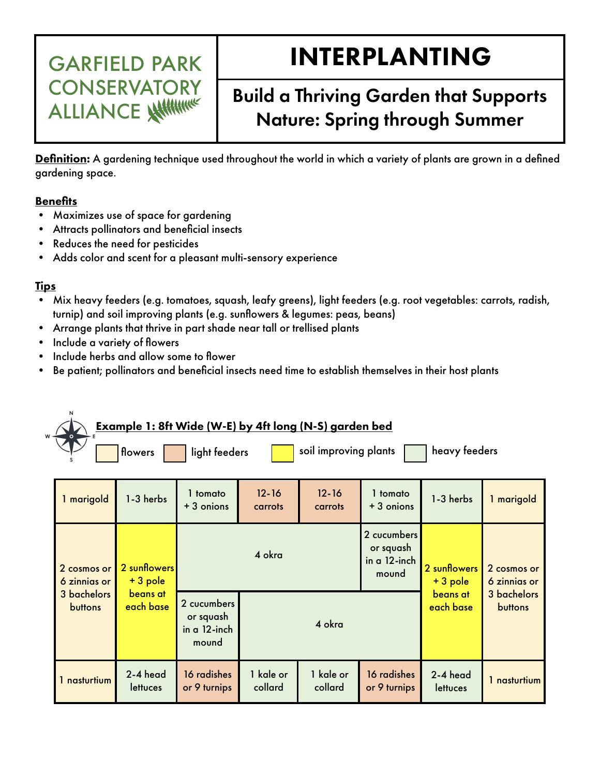# INTERPLANTING

## Build a Thriving Garden that Supports Nature: Spring through Summer

Definition: A gardening technique used throughout the world in which a variety of plants are grown in a defined gardening space.

#### **Benefits**

• Maximizes use of space for gardening

GARFIELD PARK

CONSERVATORY

ALLIANCE

- Attracts pollinators and beneficial insects
- Reduces the need for pesticides
- Adds color and scent for a pleasant multi-sensory experience

### Tips

- Mix heavy feeders (e.g. tomatoes, squash, leafy greens), light feeders (e.g. root vegetables: carrots, radish, turnip) and soil improving plants (e.g. sunfowers & legumes: peas, beans)
- Arrange plants that thrive in part shade near tall or trellised plants
- Include a variety of fowers
- Include herbs and allow some to flower
- Be patient; pollinators and beneficial insects need time to establish themselves in their host plants

| <u>Example 1: 8ft Wide (W-E) by 4ft long (N-S) garden bed</u><br>heavy feeders<br>soil improving plants<br>light feeders<br>flowers |                                                    |                                                     |                      |                      |                                                      |                                                  |                                                              |  |  |  |
|-------------------------------------------------------------------------------------------------------------------------------------|----------------------------------------------------|-----------------------------------------------------|----------------------|----------------------|------------------------------------------------------|--------------------------------------------------|--------------------------------------------------------------|--|--|--|
| 1 marigold                                                                                                                          | 1-3 herbs                                          | 1 tomato<br>+ 3 onions                              | $12 - 16$<br>carrots | $12 - 16$<br>carrots | 1 tomato<br>$+3$ onions                              | 1-3 herbs                                        | 1 marigold                                                   |  |  |  |
| 2 cosmos or<br>6 zinnias or<br>3 bachelors<br><b>buttons</b>                                                                        | 2 sunflowers<br>$+3$ pole<br>beans at<br>each base | 4 okra                                              |                      |                      | 2 cucumbers<br>or squash<br>$in a 12$ -inch<br>mound | 2 sunflowers<br>+3 pole<br>beans at<br>each base | 2 cosmos or<br>6 zinnias or<br>3 bachelors<br><b>buttons</b> |  |  |  |
|                                                                                                                                     |                                                    | 2 cucumbers<br>or squash<br>in $a$ 12-inch<br>mound | 4 okra               |                      |                                                      |                                                  |                                                              |  |  |  |
| 1 nasturtium                                                                                                                        | 2-4 head<br>lettuces                               | 16 radishes<br>or 9 turnips                         | 1 kale or<br>collard | 1 kale or<br>collard | 16 radishes<br>or 9 turnips                          | 2-4 head<br>lettuces                             | 1 nasturtium                                                 |  |  |  |